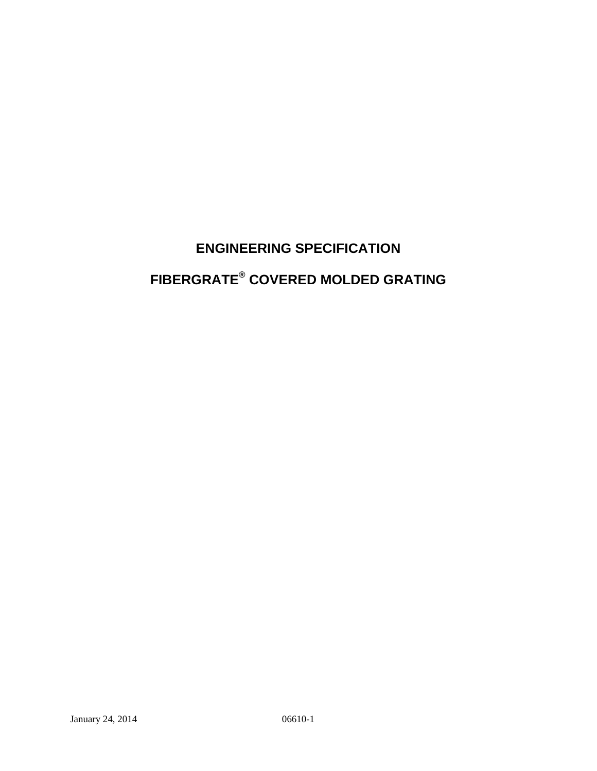# **ENGINEERING SPECIFICATION FIBERGRATE® COVERED MOLDED GRATING**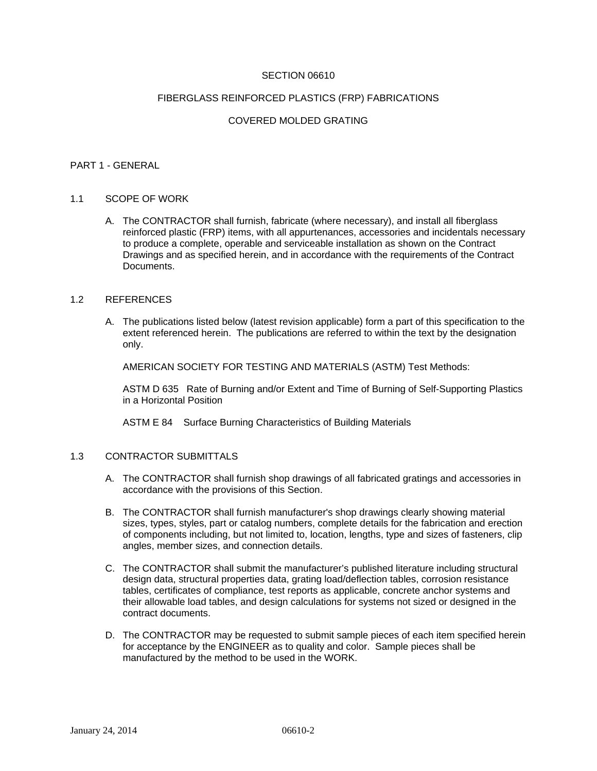# SECTION 06610

#### FIBERGLASS REINFORCED PLASTICS (FRP) FABRICATIONS

# COVERED MOLDED GRATING

#### PART 1 - GENERAL

#### 1.1 SCOPE OF WORK

A. The CONTRACTOR shall furnish, fabricate (where necessary), and install all fiberglass reinforced plastic (FRP) items, with all appurtenances, accessories and incidentals necessary to produce a complete, operable and serviceable installation as shown on the Contract Drawings and as specified herein, and in accordance with the requirements of the Contract Documents.

#### 1.2 REFERENCES

A. The publications listed below (latest revision applicable) form a part of this specification to the extent referenced herein. The publications are referred to within the text by the designation only.

AMERICAN SOCIETY FOR TESTING AND MATERIALS (ASTM) Test Methods:

ASTM D 635 Rate of Burning and/or Extent and Time of Burning of Self-Supporting Plastics in a Horizontal Position

ASTM E 84 Surface Burning Characteristics of Building Materials

#### 1.3 CONTRACTOR SUBMITTALS

- A. The CONTRACTOR shall furnish shop drawings of all fabricated gratings and accessories in accordance with the provisions of this Section.
- B. The CONTRACTOR shall furnish manufacturer's shop drawings clearly showing material sizes, types, styles, part or catalog numbers, complete details for the fabrication and erection of components including, but not limited to, location, lengths, type and sizes of fasteners, clip angles, member sizes, and connection details.
- C. The CONTRACTOR shall submit the manufacturer's published literature including structural design data, structural properties data, grating load/deflection tables, corrosion resistance tables, certificates of compliance, test reports as applicable, concrete anchor systems and their allowable load tables, and design calculations for systems not sized or designed in the contract documents.
- D. The CONTRACTOR may be requested to submit sample pieces of each item specified herein for acceptance by the ENGINEER as to quality and color. Sample pieces shall be manufactured by the method to be used in the WORK.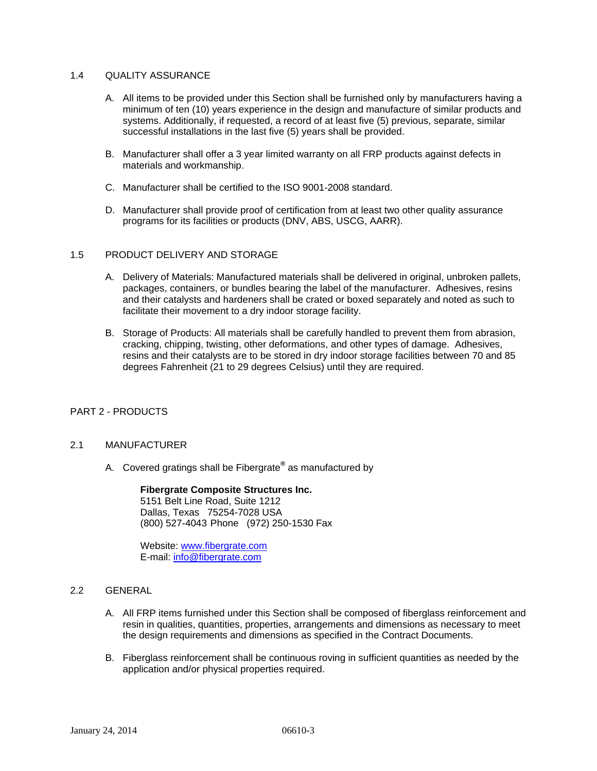# 1.4 QUALITY ASSURANCE

- A. All items to be provided under this Section shall be furnished only by manufacturers having a minimum of ten (10) years experience in the design and manufacture of similar products and systems. Additionally, if requested, a record of at least five (5) previous, separate, similar successful installations in the last five (5) years shall be provided.
- B. Manufacturer shall offer a 3 year limited warranty on all FRP products against defects in materials and workmanship.
- C. Manufacturer shall be certified to the ISO 9001-2008 standard.
- D. Manufacturer shall provide proof of certification from at least two other quality assurance programs for its facilities or products (DNV, ABS, USCG, AARR).

### 1.5 PRODUCT DELIVERY AND STORAGE

- A. Delivery of Materials: Manufactured materials shall be delivered in original, unbroken pallets, packages, containers, or bundles bearing the label of the manufacturer. Adhesives, resins and their catalysts and hardeners shall be crated or boxed separately and noted as such to facilitate their movement to a dry indoor storage facility.
- B. Storage of Products: All materials shall be carefully handled to prevent them from abrasion, cracking, chipping, twisting, other deformations, and other types of damage. Adhesives, resins and their catalysts are to be stored in dry indoor storage facilities between 70 and 85 degrees Fahrenheit (21 to 29 degrees Celsius) until they are required.

# PART 2 - PRODUCTS

# 2.1 MANUFACTURER

A. Covered gratings shall be Fibergrate**®** as manufactured by

 **Fibergrate Composite Structures Inc.** 5151 Belt Line Road, Suite 1212 Dallas, Texas 75254-7028 USA (800) 527-4043 Phone (972) 250-1530 Fax

Website: www.fibergrate.com E-mail: info@fibergrate.com

# 2.2 GENERAL

- A. All FRP items furnished under this Section shall be composed of fiberglass reinforcement and resin in qualities, quantities, properties, arrangements and dimensions as necessary to meet the design requirements and dimensions as specified in the Contract Documents.
- B. Fiberglass reinforcement shall be continuous roving in sufficient quantities as needed by the application and/or physical properties required.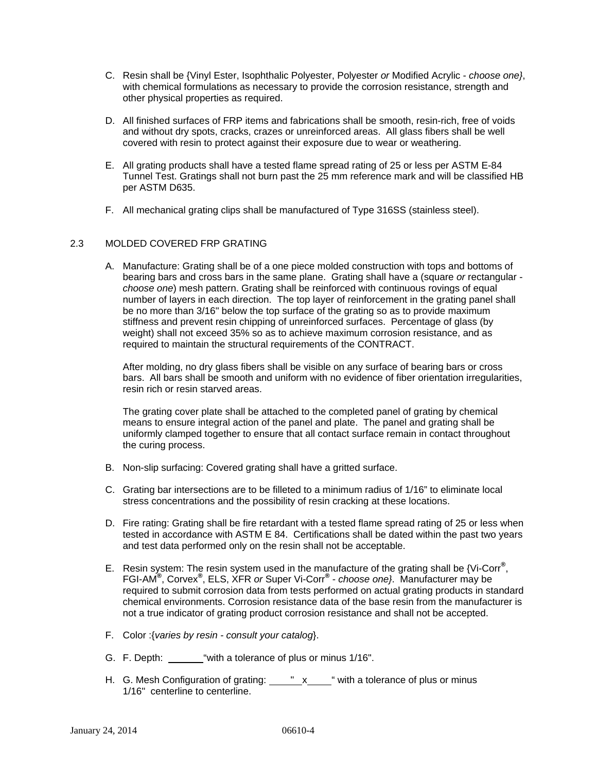- C. Resin shall be {Vinyl Ester, Isophthalic Polyester, Polyester *or* Modified Acrylic *choose one}*, with chemical formulations as necessary to provide the corrosion resistance, strength and other physical properties as required.
- D. All finished surfaces of FRP items and fabrications shall be smooth, resin-rich, free of voids and without dry spots, cracks, crazes or unreinforced areas. All glass fibers shall be well covered with resin to protect against their exposure due to wear or weathering.
- E. All grating products shall have a tested flame spread rating of 25 or less per ASTM E-84 Tunnel Test. Gratings shall not burn past the 25 mm reference mark and will be classified HB per ASTM D635.
- F. All mechanical grating clips shall be manufactured of Type 316SS (stainless steel).

# 2.3 MOLDED COVERED FRP GRATING

A. Manufacture: Grating shall be of a one piece molded construction with tops and bottoms of bearing bars and cross bars in the same plane. Grating shall have a (square *or* rectangular *choose one*) mesh pattern. Grating shall be reinforced with continuous rovings of equal number of layers in each direction. The top layer of reinforcement in the grating panel shall be no more than 3/16" below the top surface of the grating so as to provide maximum stiffness and prevent resin chipping of unreinforced surfaces. Percentage of glass (by weight) shall not exceed 35% so as to achieve maximum corrosion resistance, and as required to maintain the structural requirements of the CONTRACT.

After molding, no dry glass fibers shall be visible on any surface of bearing bars or cross bars. All bars shall be smooth and uniform with no evidence of fiber orientation irregularities, resin rich or resin starved areas.

The grating cover plate shall be attached to the completed panel of grating by chemical means to ensure integral action of the panel and plate. The panel and grating shall be uniformly clamped together to ensure that all contact surface remain in contact throughout the curing process.

- B. Non-slip surfacing: Covered grating shall have a gritted surface.
- C. Grating bar intersections are to be filleted to a minimum radius of 1/16" to eliminate local stress concentrations and the possibility of resin cracking at these locations.
- D. Fire rating: Grating shall be fire retardant with a tested flame spread rating of 25 or less when tested in accordance with ASTM E 84. Certifications shall be dated within the past two years and test data performed only on the resin shall not be acceptable.
- E. Resin system: The resin system used in the manufacture of the grating shall be {Vi-Corr**®** , FGI-AM**®** , Corvex**®** , ELS, XFR *or* Super Vi-Corr**®** - *choose one}*. Manufacturer may be required to submit corrosion data from tests performed on actual grating products in standard chemical environments. Corrosion resistance data of the base resin from the manufacturer is not a true indicator of grating product corrosion resistance and shall not be accepted.
- F. Color :{*varies by resin consult your catalog*}.
- G. F. Depth: "with a tolerance of plus or minus 1/16".
- H. G. Mesh Configuration of grating:  $\frac{\mathsf{y} \cdot \mathsf{x} \cdot \mathsf{y}}{\mathsf{x} \cdot \mathsf{x} \cdot \mathsf{x}}$  with a tolerance of plus or minus 1/16" centerline to centerline.